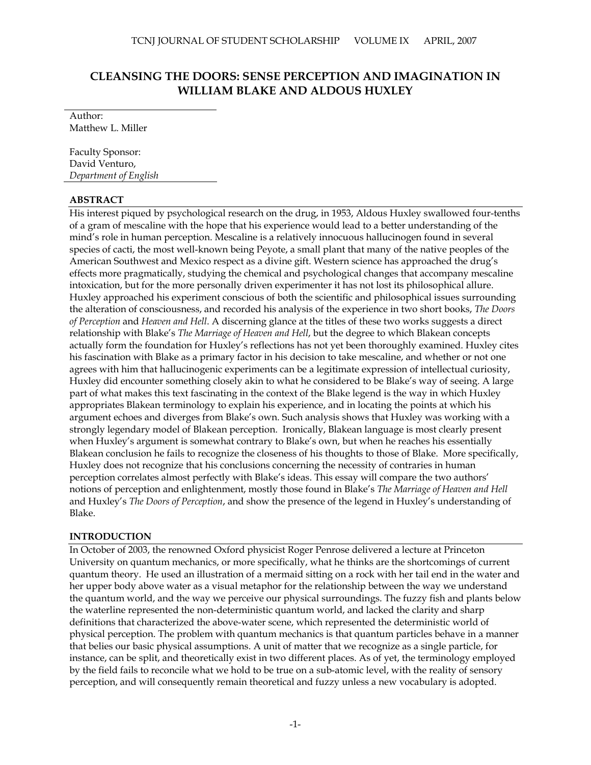# **CLEANSING THE DOORS: SENSE PERCEPTION AND IMAGINATION IN WILLIAM BLAKE AND ALDOUS HUXLEY**

Author: Matthew L. Miller

Faculty Sponsor: David Venturo, *Department of English*

# **ABSTRACT**

His interest piqued by psychological research on the drug, in 1953, Aldous Huxley swallowed four-tenths of a gram of mescaline with the hope that his experience would lead to a better understanding of the mind's role in human perception. Mescaline is a relatively innocuous hallucinogen found in several species of cacti, the most well-known being Peyote, a small plant that many of the native peoples of the American Southwest and Mexico respect as a divine gift. Western science has approached the drug's effects more pragmatically, studying the chemical and psychological changes that accompany mescaline intoxication, but for the more personally driven experimenter it has not lost its philosophical allure. Huxley approached his experiment conscious of both the scientific and philosophical issues surrounding the alteration of consciousness, and recorded his analysis of the experience in two short books, *The Doors of Perception* and *Heaven and Hell*. A discerning glance at the titles of these two works suggests a direct relationship with Blake's *The Marriage of Heaven and Hell*, but the degree to which Blakean concepts actually form the foundation for Huxley's reflections has not yet been thoroughly examined. Huxley cites his fascination with Blake as a primary factor in his decision to take mescaline, and whether or not one agrees with him that hallucinogenic experiments can be a legitimate expression of intellectual curiosity, Huxley did encounter something closely akin to what he considered to be Blake's way of seeing. A large part of what makes this text fascinating in the context of the Blake legend is the way in which Huxley appropriates Blakean terminology to explain his experience, and in locating the points at which his argument echoes and diverges from Blake's own. Such analysis shows that Huxley was working with a strongly legendary model of Blakean perception. Ironically, Blakean language is most clearly present when Huxley's argument is somewhat contrary to Blake's own, but when he reaches his essentially Blakean conclusion he fails to recognize the closeness of his thoughts to those of Blake. More specifically, Huxley does not recognize that his conclusions concerning the necessity of contraries in human perception correlates almost perfectly with Blake's ideas. This essay will compare the two authors' notions of perception and enlightenment, mostly those found in Blake's *The Marriage of Heaven and Hell* and Huxley's *The Doors of Perception*, and show the presence of the legend in Huxley's understanding of Blake.

# **INTRODUCTION**

In October of 2003, the renowned Oxford physicist Roger Penrose delivered a lecture at Princeton University on quantum mechanics, or more specifically, what he thinks are the shortcomings of current quantum theory. He used an illustration of a mermaid sitting on a rock with her tail end in the water and her upper body above water as a visual metaphor for the relationship between the way we understand the quantum world, and the way we perceive our physical surroundings. The fuzzy fish and plants below the waterline represented the non-deterministic quantum world, and lacked the clarity and sharp definitions that characterized the above-water scene, which represented the deterministic world of physical perception. The problem with quantum mechanics is that quantum particles behave in a manner that belies our basic physical assumptions. A unit of matter that we recognize as a single particle, for instance, can be split, and theoretically exist in two different places. As of yet, the terminology employed by the field fails to reconcile what we hold to be true on a sub-atomic level, with the reality of sensory perception, and will consequently remain theoretical and fuzzy unless a new vocabulary is adopted.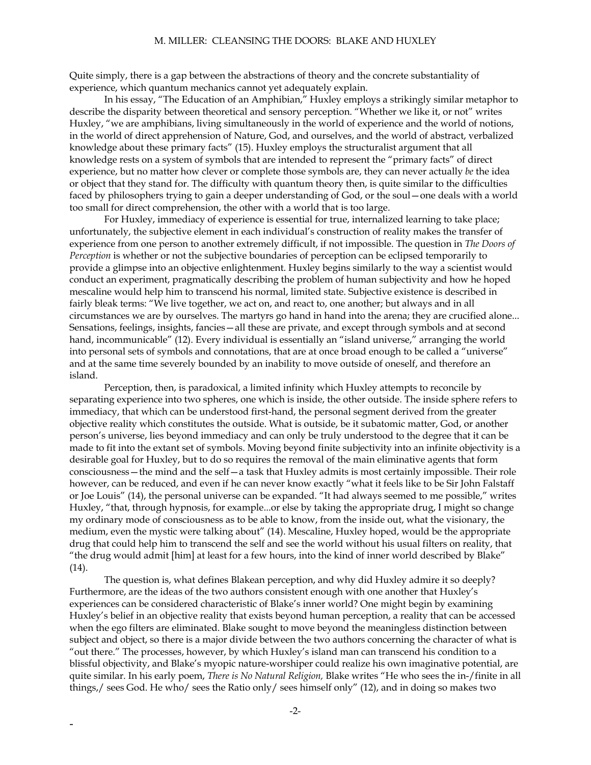Quite simply, there is a gap between the abstractions of theory and the concrete substantiality of experience, which quantum mechanics cannot yet adequately explain.

In his essay, "The Education of an Amphibian," Huxley employs a strikingly similar metaphor to describe the disparity between theoretical and sensory perception. "Whether we like it, or not" writes Huxley, "we are amphibians, living simultaneously in the world of experience and the world of notions, in the world of direct apprehension of Nature, God, and ourselves, and the world of abstract, verbalized knowledge about these primary facts" (15). Huxley employs the structuralist argument that all knowledge rests on a system of symbols that are intended to represent the "primary facts" of direct experience, but no matter how clever or complete those symbols are, they can never actually *be* the idea or object that they stand for. The difficulty with quantum theory then, is quite similar to the difficulties faced by philosophers trying to gain a deeper understanding of God, or the soul—one deals with a world too small for direct comprehension, the other with a world that is too large.

 For Huxley, immediacy of experience is essential for true, internalized learning to take place; unfortunately, the subjective element in each individual's construction of reality makes the transfer of experience from one person to another extremely difficult, if not impossible. The question in *The Doors of Perception* is whether or not the subjective boundaries of perception can be eclipsed temporarily to provide a glimpse into an objective enlightenment. Huxley begins similarly to the way a scientist would conduct an experiment, pragmatically describing the problem of human subjectivity and how he hoped mescaline would help him to transcend his normal, limited state. Subjective existence is described in fairly bleak terms: "We live together, we act on, and react to, one another; but always and in all circumstances we are by ourselves. The martyrs go hand in hand into the arena; they are crucified alone... Sensations, feelings, insights, fancies—all these are private, and except through symbols and at second hand, incommunicable" (12). Every individual is essentially an "island universe," arranging the world into personal sets of symbols and connotations, that are at once broad enough to be called a "universe" and at the same time severely bounded by an inability to move outside of oneself, and therefore an island.

Perception, then, is paradoxical, a limited infinity which Huxley attempts to reconcile by separating experience into two spheres, one which is inside, the other outside. The inside sphere refers to immediacy, that which can be understood first-hand, the personal segment derived from the greater objective reality which constitutes the outside. What is outside, be it subatomic matter, God, or another person's universe, lies beyond immediacy and can only be truly understood to the degree that it can be made to fit into the extant set of symbols. Moving beyond finite subjectivity into an infinite objectivity is a desirable goal for Huxley, but to do so requires the removal of the main eliminative agents that form consciousness—the mind and the self—a task that Huxley admits is most certainly impossible. Their role however, can be reduced, and even if he can never know exactly "what it feels like to be Sir John Falstaff or Joe Louis" (14), the personal universe can be expanded. "It had always seemed to me possible," writes Huxley, "that, through hypnosis, for example...or else by taking the appropriate drug, I might so change my ordinary mode of consciousness as to be able to know, from the inside out, what the visionary, the medium, even the mystic were talking about" (14). Mescaline, Huxley hoped, would be the appropriate drug that could help him to transcend the self and see the world without his usual filters on reality, that "the drug would admit [him] at least for a few hours, into the kind of inner world described by Blake" (14).

The question is, what defines Blakean perception, and why did Huxley admire it so deeply? Furthermore, are the ideas of the two authors consistent enough with one another that Huxley's experiences can be considered characteristic of Blake's inner world? One might begin by examining Huxley's belief in an objective reality that exists beyond human perception, a reality that can be accessed when the ego filters are eliminated. Blake sought to move beyond the meaningless distinction between subject and object, so there is a major divide between the two authors concerning the character of what is "out there." The processes, however, by which Huxley's island man can transcend his condition to a blissful objectivity, and Blake's myopic nature-worshiper could realize his own imaginative potential, are quite similar. In his early poem, *There is No Natural Religion,* Blake writes "He who sees the in-/finite in all things,/ sees God. He who/ sees the Ratio only/ sees himself only" (12), and in doing so makes two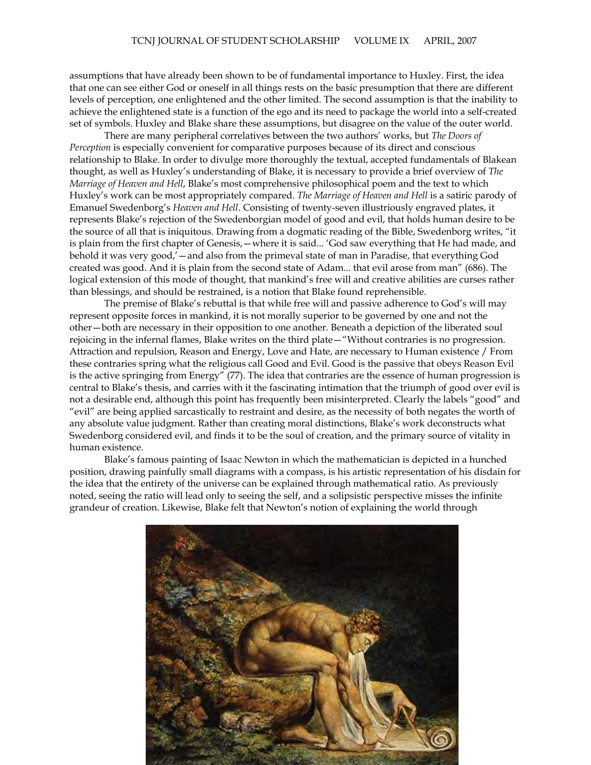assumptions that have already been shown to be of fundamental importance to Huxley. First, the idea that one can see either God or oneself in all things rests on the basic presumption that there are different levels of perception, one enlightened and the other limited. The second assumption is that the inability to achieve the enlightened state is a function of the ego and its need to package the world into a self-created set of symbols. Huxley and Blake share these assumptions, but disagree on the value of the outer world.

There are many peripheral correlatives between the two authors' works, but *The Doors of Perception* is especially convenient for comparative purposes because of its direct and conscious relationship to Blake. In order to divulge more thoroughly the textual, accepted fundamentals of Blakean thought, as well as Huxley's understanding of Blake, it is necessary to provide a brief overview of *The Marriage of Heaven and Hell*, Blake's most comprehensive philosophical poem and the text to which Huxley's work can be most appropriately compared. *The Marriage of Heaven and Hell* is a satiric parody of Emanuel Swedenborg's *Heaven and Hell*. Consisting of twenty-seven illustriously engraved plates, it represents Blake's rejection of the Swedenborgian model of good and evil, that holds human desire to be the source of all that is iniquitous. Drawing from a dogmatic reading of the Bible, Swedenborg writes, "it is plain from the first chapter of Genesis,—where it is said... 'God saw everything that He had made, and behold it was very good,'—and also from the primeval state of man in Paradise, that everything God created was good. And it is plain from the second state of Adam... that evil arose from man" (686). The logical extension of this mode of thought, that mankind's free will and creative abilities are curses rather than blessings, and should be restrained, is a notion that Blake found reprehensible.

The premise of Blake's rebuttal is that while free will and passive adherence to God's will may represent opposite forces in mankind, it is not morally superior to be governed by one and not the other—both are necessary in their opposition to one another. Beneath a depiction of the liberated soul rejoicing in the infernal flames, Blake writes on the third plate—"Without contraries is no progression. Attraction and repulsion, Reason and Energy, Love and Hate, are necessary to Human existence / From these contraries spring what the religious call Good and Evil. Good is the passive that obeys Reason Evil is the active springing from Energy" (77). The idea that contraries are the essence of human progression is central to Blake's thesis, and carries with it the fascinating intimation that the triumph of good over evil is not a desirable end, although this point has frequently been misinterpreted. Clearly the labels "good" and "evil" are being applied sarcastically to restraint and desire, as the necessity of both negates the worth of any absolute value judgment. Rather than creating moral distinctions, Blake's work deconstructs what Swedenborg considered evil, and finds it to be the soul of creation, and the primary source of vitality in human existence.

Blake's famous painting of Isaac Newton in which the mathematician is depicted in a hunched position, drawing painfully small diagrams with a compass, is his artistic representation of his disdain for the idea that the entirety of the universe can be explained through mathematical ratio. As previously noted, seeing the ratio will lead only to seeing the self, and a solipsistic perspective misses the infinite grandeur of creation. Likewise, Blake felt that Newton's notion of explaining the world through

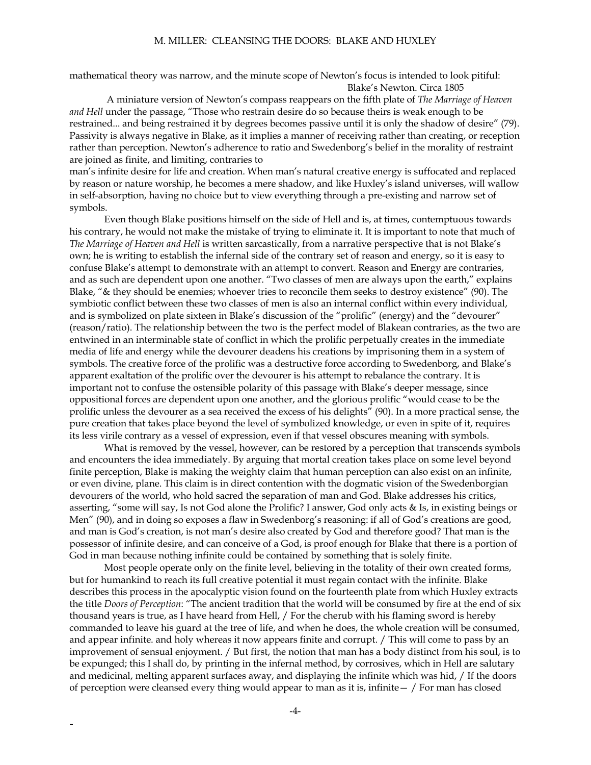mathematical theory was narrow, and the minute scope of Newton's focus is intended to look pitiful: Blake's Newton. Circa 1805

 A miniature version of Newton's compass reappears on the fifth plate of *The Marriage of Heaven and Hell* under the passage, "Those who restrain desire do so because theirs is weak enough to be restrained... and being restrained it by degrees becomes passive until it is only the shadow of desire" (79). Passivity is always negative in Blake, as it implies a manner of receiving rather than creating, or reception rather than perception. Newton's adherence to ratio and Swedenborg's belief in the morality of restraint are joined as finite, and limiting, contraries to

man's infinite desire for life and creation. When man's natural creative energy is suffocated and replaced by reason or nature worship, he becomes a mere shadow, and like Huxley's island universes, will wallow in self-absorption, having no choice but to view everything through a pre-existing and narrow set of symbols.

 Even though Blake positions himself on the side of Hell and is, at times, contemptuous towards his contrary, he would not make the mistake of trying to eliminate it. It is important to note that much of *The Marriage of Heaven and Hell* is written sarcastically, from a narrative perspective that is not Blake's own; he is writing to establish the infernal side of the contrary set of reason and energy, so it is easy to confuse Blake's attempt to demonstrate with an attempt to convert. Reason and Energy are contraries, and as such are dependent upon one another. "Two classes of men are always upon the earth," explains Blake, "& they should be enemies; whoever tries to reconcile them seeks to destroy existence" (90). The symbiotic conflict between these two classes of men is also an internal conflict within every individual, and is symbolized on plate sixteen in Blake's discussion of the "prolific" (energy) and the "devourer" (reason/ratio). The relationship between the two is the perfect model of Blakean contraries, as the two are entwined in an interminable state of conflict in which the prolific perpetually creates in the immediate media of life and energy while the devourer deadens his creations by imprisoning them in a system of symbols. The creative force of the prolific was a destructive force according to Swedenborg, and Blake's apparent exaltation of the prolific over the devourer is his attempt to rebalance the contrary. It is important not to confuse the ostensible polarity of this passage with Blake's deeper message, since oppositional forces are dependent upon one another, and the glorious prolific "would cease to be the prolific unless the devourer as a sea received the excess of his delights" (90). In a more practical sense, the pure creation that takes place beyond the level of symbolized knowledge, or even in spite of it, requires its less virile contrary as a vessel of expression, even if that vessel obscures meaning with symbols.

What is removed by the vessel, however, can be restored by a perception that transcends symbols and encounters the idea immediately. By arguing that mortal creation takes place on some level beyond finite perception, Blake is making the weighty claim that human perception can also exist on an infinite, or even divine, plane. This claim is in direct contention with the dogmatic vision of the Swedenborgian devourers of the world, who hold sacred the separation of man and God. Blake addresses his critics, asserting, "some will say, Is not God alone the Prolific? I answer, God only acts & Is, in existing beings or Men" (90), and in doing so exposes a flaw in Swedenborg's reasoning: if all of God's creations are good, and man is God's creation, is not man's desire also created by God and therefore good? That man is the possessor of infinite desire, and can conceive of a God, is proof enough for Blake that there is a portion of God in man because nothing infinite could be contained by something that is solely finite.

Most people operate only on the finite level, believing in the totality of their own created forms, but for humankind to reach its full creative potential it must regain contact with the infinite. Blake describes this process in the apocalyptic vision found on the fourteenth plate from which Huxley extracts the title *Doors of Perception*: "The ancient tradition that the world will be consumed by fire at the end of six thousand years is true, as I have heard from Hell, / For the cherub with his flaming sword is hereby commanded to leave his guard at the tree of life, and when he does, the whole creation will be consumed, and appear infinite. and holy whereas it now appears finite and corrupt. / This will come to pass by an improvement of sensual enjoyment. / But first, the notion that man has a body distinct from his soul, is to be expunged; this I shall do, by printing in the infernal method, by corrosives, which in Hell are salutary and medicinal, melting apparent surfaces away, and displaying the infinite which was hid, / If the doors of perception were cleansed every thing would appear to man as it is, infinite  $-$  / For man has closed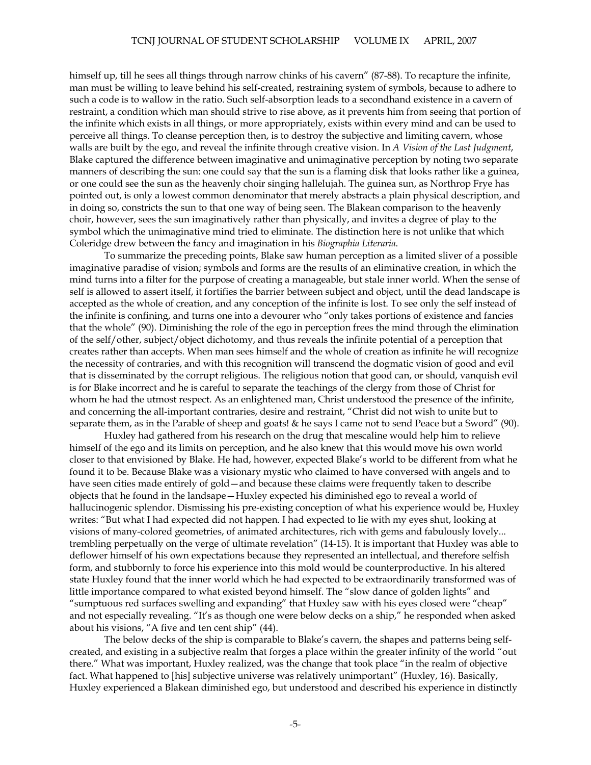himself up, till he sees all things through narrow chinks of his cavern" (87-88). To recapture the infinite, man must be willing to leave behind his self-created, restraining system of symbols, because to adhere to such a code is to wallow in the ratio. Such self-absorption leads to a secondhand existence in a cavern of restraint, a condition which man should strive to rise above, as it prevents him from seeing that portion of the infinite which exists in all things, or more appropriately, exists within every mind and can be used to perceive all things. To cleanse perception then, is to destroy the subjective and limiting cavern, whose walls are built by the ego, and reveal the infinite through creative vision. In *A Vision of the Last Judgment*, Blake captured the difference between imaginative and unimaginative perception by noting two separate manners of describing the sun: one could say that the sun is a flaming disk that looks rather like a guinea, or one could see the sun as the heavenly choir singing hallelujah. The guinea sun, as Northrop Frye has pointed out, is only a lowest common denominator that merely abstracts a plain physical description, and in doing so, constricts the sun to that one way of being seen. The Blakean comparison to the heavenly choir, however, sees the sun imaginatively rather than physically, and invites a degree of play to the symbol which the unimaginative mind tried to eliminate. The distinction here is not unlike that which Coleridge drew between the fancy and imagination in his *Biographia Literaria*.

To summarize the preceding points, Blake saw human perception as a limited sliver of a possible imaginative paradise of vision; symbols and forms are the results of an eliminative creation, in which the mind turns into a filter for the purpose of creating a manageable, but stale inner world. When the sense of self is allowed to assert itself, it fortifies the barrier between subject and object, until the dead landscape is accepted as the whole of creation, and any conception of the infinite is lost. To see only the self instead of the infinite is confining, and turns one into a devourer who "only takes portions of existence and fancies that the whole" (90). Diminishing the role of the ego in perception frees the mind through the elimination of the self/other, subject/object dichotomy, and thus reveals the infinite potential of a perception that creates rather than accepts. When man sees himself and the whole of creation as infinite he will recognize the necessity of contraries, and with this recognition will transcend the dogmatic vision of good and evil that is disseminated by the corrupt religious. The religious notion that good can, or should, vanquish evil is for Blake incorrect and he is careful to separate the teachings of the clergy from those of Christ for whom he had the utmost respect. As an enlightened man, Christ understood the presence of the infinite, and concerning the all-important contraries, desire and restraint, "Christ did not wish to unite but to separate them, as in the Parable of sheep and goats! & he says I came not to send Peace but a Sword" (90).

 Huxley had gathered from his research on the drug that mescaline would help him to relieve himself of the ego and its limits on perception, and he also knew that this would move his own world closer to that envisioned by Blake. He had, however, expected Blake's world to be different from what he found it to be. Because Blake was a visionary mystic who claimed to have conversed with angels and to have seen cities made entirely of gold—and because these claims were frequently taken to describe objects that he found in the landsape—Huxley expected his diminished ego to reveal a world of hallucinogenic splendor. Dismissing his pre-existing conception of what his experience would be, Huxley writes: "But what I had expected did not happen. I had expected to lie with my eyes shut, looking at visions of many-colored geometries, of animated architectures, rich with gems and fabulously lovely... trembling perpetually on the verge of ultimate revelation" (14-15). It is important that Huxley was able to deflower himself of his own expectations because they represented an intellectual, and therefore selfish form, and stubbornly to force his experience into this mold would be counterproductive. In his altered state Huxley found that the inner world which he had expected to be extraordinarily transformed was of little importance compared to what existed beyond himself. The "slow dance of golden lights" and "sumptuous red surfaces swelling and expanding" that Huxley saw with his eyes closed were "cheap" and not especially revealing. "It's as though one were below decks on a ship," he responded when asked about his visions, "A five and ten cent ship" (44).

The below decks of the ship is comparable to Blake's cavern, the shapes and patterns being selfcreated, and existing in a subjective realm that forges a place within the greater infinity of the world "out there." What was important, Huxley realized, was the change that took place "in the realm of objective fact. What happened to [his] subjective universe was relatively unimportant" (Huxley, 16). Basically, Huxley experienced a Blakean diminished ego, but understood and described his experience in distinctly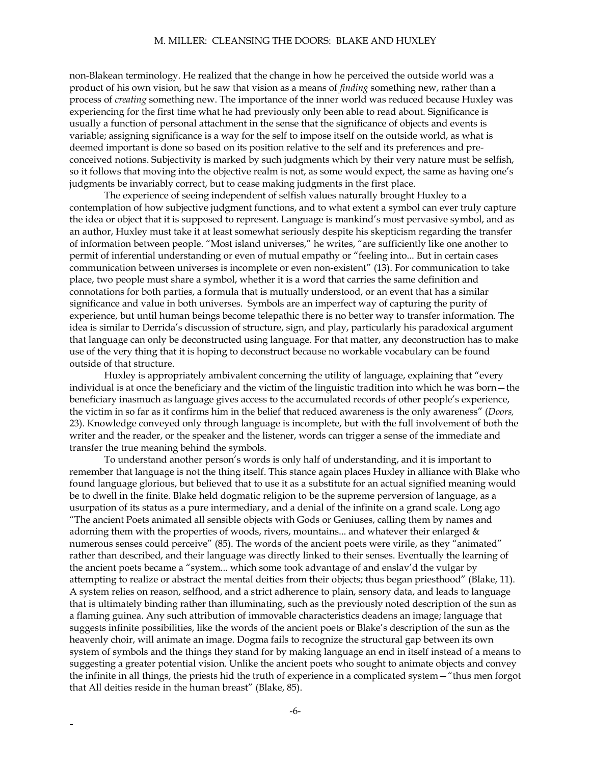#### M. MILLER: CLEANSING THE DOORS: BLAKE AND HUXLEY

non-Blakean terminology. He realized that the change in how he perceived the outside world was a product of his own vision, but he saw that vision as a means of *finding* something new, rather than a process of *creating* something new. The importance of the inner world was reduced because Huxley was experiencing for the first time what he had previously only been able to read about. Significance is usually a function of personal attachment in the sense that the significance of objects and events is variable; assigning significance is a way for the self to impose itself on the outside world, as what is deemed important is done so based on its position relative to the self and its preferences and preconceived notions. Subjectivity is marked by such judgments which by their very nature must be selfish, so it follows that moving into the objective realm is not, as some would expect, the same as having one's judgments be invariably correct, but to cease making judgments in the first place.

The experience of seeing independent of selfish values naturally brought Huxley to a contemplation of how subjective judgment functions, and to what extent a symbol can ever truly capture the idea or object that it is supposed to represent. Language is mankind's most pervasive symbol, and as an author, Huxley must take it at least somewhat seriously despite his skepticism regarding the transfer of information between people. "Most island universes," he writes, "are sufficiently like one another to permit of inferential understanding or even of mutual empathy or "feeling into... But in certain cases communication between universes is incomplete or even non-existent" (13). For communication to take place, two people must share a symbol, whether it is a word that carries the same definition and connotations for both parties, a formula that is mutually understood, or an event that has a similar significance and value in both universes. Symbols are an imperfect way of capturing the purity of experience, but until human beings become telepathic there is no better way to transfer information. The idea is similar to Derrida's discussion of structure, sign, and play, particularly his paradoxical argument that language can only be deconstructed using language. For that matter, any deconstruction has to make use of the very thing that it is hoping to deconstruct because no workable vocabulary can be found outside of that structure.

Huxley is appropriately ambivalent concerning the utility of language, explaining that "every individual is at once the beneficiary and the victim of the linguistic tradition into which he was born—the beneficiary inasmuch as language gives access to the accumulated records of other people's experience, the victim in so far as it confirms him in the belief that reduced awareness is the only awareness" (*Doors,*  23). Knowledge conveyed only through language is incomplete, but with the full involvement of both the writer and the reader, or the speaker and the listener, words can trigger a sense of the immediate and transfer the true meaning behind the symbols.

To understand another person's words is only half of understanding, and it is important to remember that language is not the thing itself. This stance again places Huxley in alliance with Blake who found language glorious, but believed that to use it as a substitute for an actual signified meaning would be to dwell in the finite. Blake held dogmatic religion to be the supreme perversion of language, as a usurpation of its status as a pure intermediary, and a denial of the infinite on a grand scale. Long ago "The ancient Poets animated all sensible objects with Gods or Geniuses, calling them by names and adorning them with the properties of woods, rivers, mountains... and whatever their enlarged & numerous senses could perceive" (85). The words of the ancient poets were virile, as they "animated" rather than described, and their language was directly linked to their senses. Eventually the learning of the ancient poets became a "system... which some took advantage of and enslav'd the vulgar by attempting to realize or abstract the mental deities from their objects; thus began priesthood" (Blake, 11). A system relies on reason, selfhood, and a strict adherence to plain, sensory data, and leads to language that is ultimately binding rather than illuminating, such as the previously noted description of the sun as a flaming guinea. Any such attribution of immovable characteristics deadens an image; language that suggests infinite possibilities, like the words of the ancient poets or Blake's description of the sun as the heavenly choir, will animate an image. Dogma fails to recognize the structural gap between its own system of symbols and the things they stand for by making language an end in itself instead of a means to suggesting a greater potential vision. Unlike the ancient poets who sought to animate objects and convey the infinite in all things, the priests hid the truth of experience in a complicated system—"thus men forgot that All deities reside in the human breast" (Blake, 85).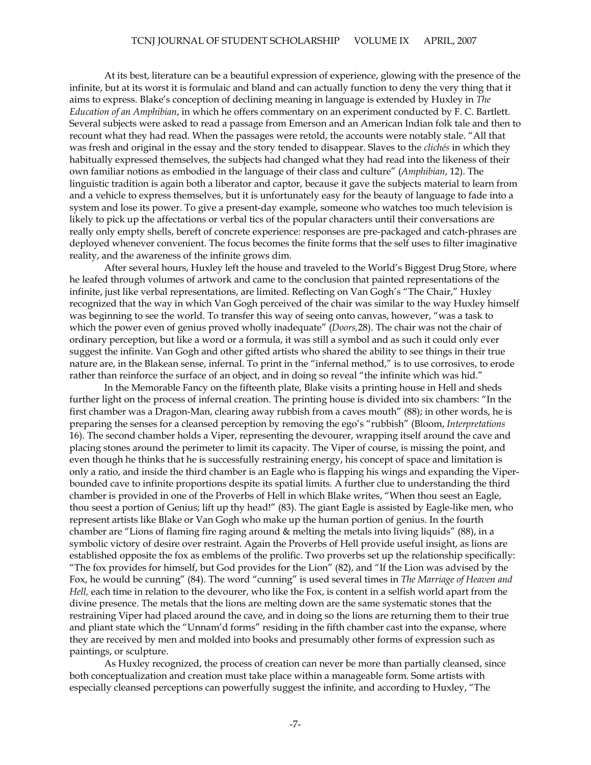At its best, literature can be a beautiful expression of experience, glowing with the presence of the infinite, but at its worst it is formulaic and bland and can actually function to deny the very thing that it aims to express. Blake's conception of declining meaning in language is extended by Huxley in *The Education of an Amphibian*, in which he offers commentary on an experiment conducted by F. C. Bartlett. Several subjects were asked to read a passage from Emerson and an American Indian folk tale and then to recount what they had read. When the passages were retold, the accounts were notably stale. "All that was fresh and original in the essay and the story tended to disappear. Slaves to the *clichés* in which they habitually expressed themselves, the subjects had changed what they had read into the likeness of their own familiar notions as embodied in the language of their class and culture" (*Amphibian*, 12). The linguistic tradition is again both a liberator and captor, because it gave the subjects material to learn from and a vehicle to express themselves, but it is unfortunately easy for the beauty of language to fade into a system and lose its power. To give a present-day example, someone who watches too much television is likely to pick up the affectations or verbal tics of the popular characters until their conversations are really only empty shells, bereft of concrete experience: responses are pre-packaged and catch-phrases are deployed whenever convenient. The focus becomes the finite forms that the self uses to filter imaginative reality, and the awareness of the infinite grows dim.

After several hours, Huxley left the house and traveled to the World's Biggest Drug Store, where he leafed through volumes of artwork and came to the conclusion that painted representations of the infinite, just like verbal representations, are limited. Reflecting on Van Gogh's "The Chair," Huxley recognized that the way in which Van Gogh perceived of the chair was similar to the way Huxley himself was beginning to see the world. To transfer this way of seeing onto canvas, however, "was a task to which the power even of genius proved wholly inadequate" (*Doors,*28). The chair was not the chair of ordinary perception, but like a word or a formula, it was still a symbol and as such it could only ever suggest the infinite. Van Gogh and other gifted artists who shared the ability to see things in their true nature are, in the Blakean sense, infernal. To print in the "infernal method," is to use corrosives, to erode rather than reinforce the surface of an object, and in doing so reveal "the infinite which was hid."

In the Memorable Fancy on the fifteenth plate, Blake visits a printing house in Hell and sheds further light on the process of infernal creation. The printing house is divided into six chambers: "In the first chamber was a Dragon-Man, clearing away rubbish from a caves mouth" (88); in other words, he is preparing the senses for a cleansed perception by removing the ego's "rubbish" (Bloom, *Interpretations* 16). The second chamber holds a Viper, representing the devourer, wrapping itself around the cave and placing stones around the perimeter to limit its capacity. The Viper of course, is missing the point, and even though he thinks that he is successfully restraining energy, his concept of space and limitation is only a ratio, and inside the third chamber is an Eagle who is flapping his wings and expanding the Viperbounded cave to infinite proportions despite its spatial limits. A further clue to understanding the third chamber is provided in one of the Proverbs of Hell in which Blake writes, "When thou seest an Eagle, thou seest a portion of Genius; lift up thy head!" (83). The giant Eagle is assisted by Eagle-like men, who represent artists like Blake or Van Gogh who make up the human portion of genius. In the fourth chamber are "Lions of flaming fire raging around & melting the metals into living liquids" (88), in a symbolic victory of desire over restraint. Again the Proverbs of Hell provide useful insight, as lions are established opposite the fox as emblems of the prolific. Two proverbs set up the relationship specifically: "The fox provides for himself, but God provides for the Lion" (82), and "If the Lion was advised by the Fox, he would be cunning" (84). The word "cunning" is used several times in *The Marriage of Heaven and Hell,* each time in relation to the devourer, who like the Fox, is content in a selfish world apart from the divine presence. The metals that the lions are melting down are the same systematic stones that the restraining Viper had placed around the cave, and in doing so the lions are returning them to their true and pliant state which the "Unnam'd forms" residing in the fifth chamber cast into the expanse, where they are received by men and molded into books and presumably other forms of expression such as paintings, or sculpture.

 As Huxley recognized, the process of creation can never be more than partially cleansed, since both conceptualization and creation must take place within a manageable form. Some artists with especially cleansed perceptions can powerfully suggest the infinite, and according to Huxley, "The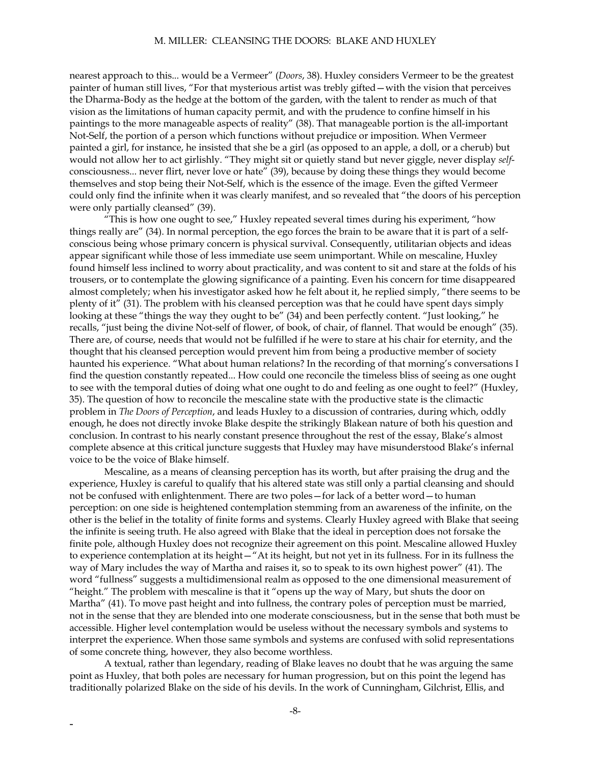nearest approach to this... would be a Vermeer" (*Doors*, 38). Huxley considers Vermeer to be the greatest painter of human still lives, "For that mysterious artist was trebly gifted—with the vision that perceives the Dharma-Body as the hedge at the bottom of the garden, with the talent to render as much of that vision as the limitations of human capacity permit, and with the prudence to confine himself in his paintings to the more manageable aspects of reality" (38). That manageable portion is the all-important Not-Self, the portion of a person which functions without prejudice or imposition. When Vermeer painted a girl, for instance, he insisted that she be a girl (as opposed to an apple, a doll, or a cherub) but would not allow her to act girlishly. "They might sit or quietly stand but never giggle, never display *self*consciousness... never flirt, never love or hate" (39), because by doing these things they would become themselves and stop being their Not-Self, which is the essence of the image. Even the gifted Vermeer could only find the infinite when it was clearly manifest, and so revealed that "the doors of his perception were only partially cleansed" (39).

"This is how one ought to see," Huxley repeated several times during his experiment, "how things really are" (34). In normal perception, the ego forces the brain to be aware that it is part of a selfconscious being whose primary concern is physical survival. Consequently, utilitarian objects and ideas appear significant while those of less immediate use seem unimportant. While on mescaline, Huxley found himself less inclined to worry about practicality, and was content to sit and stare at the folds of his trousers, or to contemplate the glowing significance of a painting. Even his concern for time disappeared almost completely; when his investigator asked how he felt about it, he replied simply, "there seems to be plenty of it" (31). The problem with his cleansed perception was that he could have spent days simply looking at these "things the way they ought to be" (34) and been perfectly content. "Just looking," he recalls, "just being the divine Not-self of flower, of book, of chair, of flannel. That would be enough" (35). There are, of course, needs that would not be fulfilled if he were to stare at his chair for eternity, and the thought that his cleansed perception would prevent him from being a productive member of society haunted his experience. "What about human relations? In the recording of that morning's conversations I find the question constantly repeated... How could one reconcile the timeless bliss of seeing as one ought to see with the temporal duties of doing what one ought to do and feeling as one ought to feel?" (Huxley, 35). The question of how to reconcile the mescaline state with the productive state is the climactic problem in *The Doors of Perception*, and leads Huxley to a discussion of contraries, during which, oddly enough, he does not directly invoke Blake despite the strikingly Blakean nature of both his question and conclusion. In contrast to his nearly constant presence throughout the rest of the essay, Blake's almost complete absence at this critical juncture suggests that Huxley may have misunderstood Blake's infernal voice to be the voice of Blake himself.

Mescaline, as a means of cleansing perception has its worth, but after praising the drug and the experience, Huxley is careful to qualify that his altered state was still only a partial cleansing and should not be confused with enlightenment. There are two poles—for lack of a better word—to human perception: on one side is heightened contemplation stemming from an awareness of the infinite, on the other is the belief in the totality of finite forms and systems. Clearly Huxley agreed with Blake that seeing the infinite is seeing truth. He also agreed with Blake that the ideal in perception does not forsake the finite pole, although Huxley does not recognize their agreement on this point. Mescaline allowed Huxley to experience contemplation at its height—"At its height, but not yet in its fullness. For in its fullness the way of Mary includes the way of Martha and raises it, so to speak to its own highest power" (41). The word "fullness" suggests a multidimensional realm as opposed to the one dimensional measurement of "height." The problem with mescaline is that it "opens up the way of Mary, but shuts the door on Martha" (41). To move past height and into fullness, the contrary poles of perception must be married, not in the sense that they are blended into one moderate consciousness, but in the sense that both must be accessible. Higher level contemplation would be useless without the necessary symbols and systems to interpret the experience. When those same symbols and systems are confused with solid representations of some concrete thing, however, they also become worthless.

A textual, rather than legendary, reading of Blake leaves no doubt that he was arguing the same point as Huxley, that both poles are necessary for human progression, but on this point the legend has traditionally polarized Blake on the side of his devils. In the work of Cunningham, Gilchrist, Ellis, and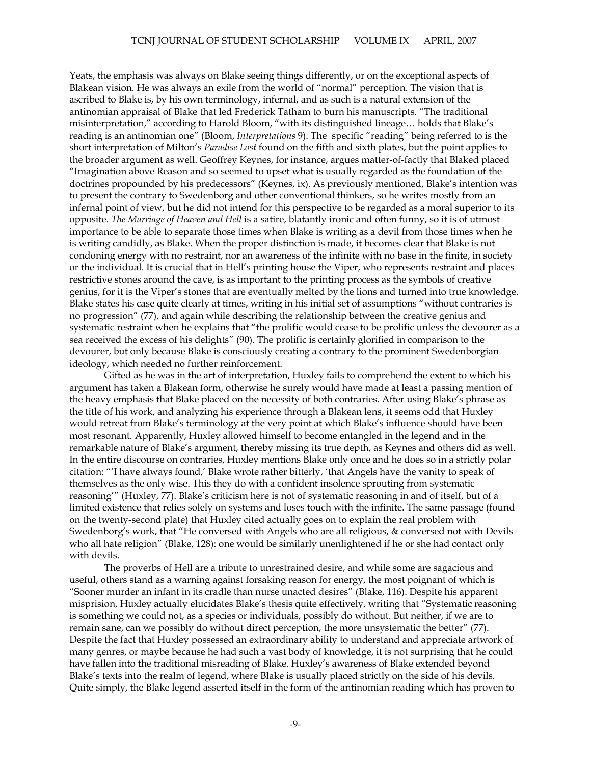Yeats, the emphasis was always on Blake seeing things differently, or on the exceptional aspects of Blakean vision. He was always an exile from the world of "normal" perception. The vision that is ascribed to Blake is, by his own terminology, infernal, and as such is a natural extension of the antinomian appraisal of Blake that led Frederick Tatham to burn his manuscripts. "The traditional misinterpretation," according to Harold Bloom, "with its distinguished lineage… holds that Blake's reading is an antinomian one" (Bloom, *Interpretations* 9). The specific "reading" being referred to is the short interpretation of Milton's *Paradise Lost* found on the fifth and sixth plates, but the point applies to the broader argument as well. Geoffrey Keynes, for instance, argues matter-of-factly that Blaked placed "Imagination above Reason and so seemed to upset what is usually regarded as the foundation of the doctrines propounded by his predecessors" (Keynes, ix). As previously mentioned, Blake's intention was to present the contrary to Swedenborg and other conventional thinkers, so he writes mostly from an infernal point of view, but he did not intend for this perspective to be regarded as a moral superior to its opposite. *The Marriage of Heaven and Hell* is a satire, blatantly ironic and often funny, so it is of utmost importance to be able to separate those times when Blake is writing as a devil from those times when he is writing candidly, as Blake. When the proper distinction is made, it becomes clear that Blake is not condoning energy with no restraint, nor an awareness of the infinite with no base in the finite, in society or the individual. It is crucial that in Hell's printing house the Viper, who represents restraint and places restrictive stones around the cave, is as important to the printing process as the symbols of creative genius, for it is the Viper's stones that are eventually melted by the lions and turned into true knowledge. Blake states his case quite clearly at times, writing in his initial set of assumptions "without contraries is no progression" (77), and again while describing the relationship between the creative genius and systematic restraint when he explains that "the prolific would cease to be prolific unless the devourer as a sea received the excess of his delights" (90). The prolific is certainly glorified in comparison to the devourer, but only because Blake is consciously creating a contrary to the prominent Swedenborgian ideology, which needed no further reinforcement.

Gifted as he was in the art of interpretation, Huxley fails to comprehend the extent to which his argument has taken a Blakean form, otherwise he surely would have made at least a passing mention of the heavy emphasis that Blake placed on the necessity of both contraries. After using Blake's phrase as the title of his work, and analyzing his experience through a Blakean lens, it seems odd that Huxley would retreat from Blake's terminology at the very point at which Blake's influence should have been most resonant. Apparently, Huxley allowed himself to become entangled in the legend and in the remarkable nature of Blake's argument, thereby missing its true depth, as Keynes and others did as well. In the entire discourse on contraries, Huxley mentions Blake only once and he does so in a strictly polar citation: "'I have always found,' Blake wrote rather bitterly, 'that Angels have the vanity to speak of themselves as the only wise. This they do with a confident insolence sprouting from systematic reasoning'" (Huxley, 77). Blake's criticism here is not of systematic reasoning in and of itself, but of a limited existence that relies solely on systems and loses touch with the infinite. The same passage (found on the twenty-second plate) that Huxley cited actually goes on to explain the real problem with Swedenborg's work, that "He conversed with Angels who are all religious, & conversed not with Devils who all hate religion" (Blake, 128): one would be similarly unenlightened if he or she had contact only with devils.

The proverbs of Hell are a tribute to unrestrained desire, and while some are sagacious and useful, others stand as a warning against forsaking reason for energy, the most poignant of which is "Sooner murder an infant in its cradle than nurse unacted desires" (Blake, 116). Despite his apparent misprision, Huxley actually elucidates Blake's thesis quite effectively, writing that "Systematic reasoning is something we could not, as a species or individuals, possibly do without. But neither, if we are to remain sane, can we possibly do without direct perception, the more unsystematic the better" (77). Despite the fact that Huxley possessed an extraordinary ability to understand and appreciate artwork of many genres, or maybe because he had such a vast body of knowledge, it is not surprising that he could have fallen into the traditional misreading of Blake. Huxley's awareness of Blake extended beyond Blake's texts into the realm of legend, where Blake is usually placed strictly on the side of his devils. Quite simply, the Blake legend asserted itself in the form of the antinomian reading which has proven to